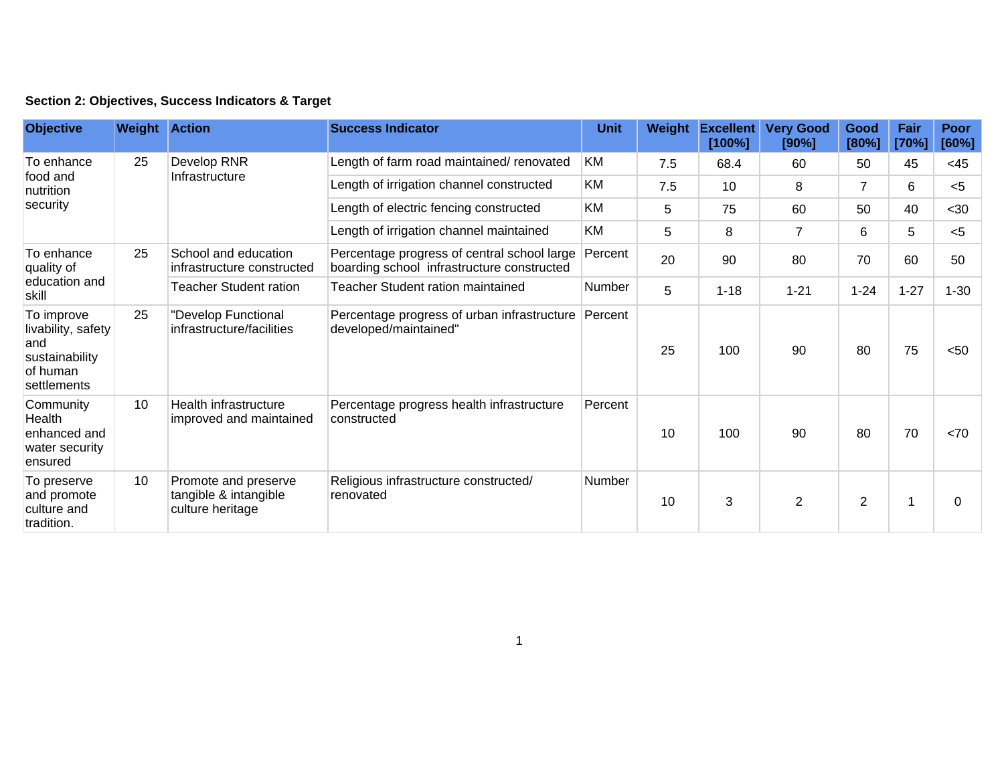## **Section 2: Objectives, Success Indicators & Target**

| <b>Objective</b>                                                                     | <b>Weight Action</b> |                                                                   | <b>Success Indicator</b>                                                                  | <b>Unit</b> | Weight | <b>Excellent</b><br>[100%] | <b>Very Good</b><br>[90%] | Good<br>[80%]  | Fair<br>[70%] | Poor<br>[60%] |
|--------------------------------------------------------------------------------------|----------------------|-------------------------------------------------------------------|-------------------------------------------------------------------------------------------|-------------|--------|----------------------------|---------------------------|----------------|---------------|---------------|
| To enhance<br>food and<br>nutrition<br>security                                      | 25                   | Develop RNR<br>Infrastructure                                     | Length of farm road maintained/ renovated                                                 | KM          | 7.5    | 68.4                       | 60                        | 50             | 45            | <45           |
|                                                                                      |                      |                                                                   | Length of irrigation channel constructed                                                  | KM          | 7.5    | 10                         | 8                         | $\overline{7}$ | 6             | $<$ 5         |
|                                                                                      |                      |                                                                   | Length of electric fencing constructed                                                    | <b>KM</b>   | 5      | 75                         | 60                        | 50             | 40            | $30$          |
|                                                                                      |                      |                                                                   | Length of irrigation channel maintained                                                   | <b>KM</b>   | 5      | 8                          | $\overline{7}$            | 6              | 5             | $<$ 5         |
| To enhance<br>quality of<br>education and<br>skill                                   | 25                   | School and education<br>infrastructure constructed                | Percentage progress of central school large<br>boarding school infrastructure constructed | Percent     | 20     | 90                         | 80                        | 70             | 60            | 50            |
|                                                                                      |                      | <b>Teacher Student ration</b>                                     | Teacher Student ration maintained                                                         | Number      | 5      | $1 - 18$                   | $1 - 21$                  | $1 - 24$       | $1 - 27$      | $1 - 30$      |
| To improve<br>livability, safety<br>and<br>sustainability<br>of human<br>settlements | 25                   | "Develop Functional<br>infrastructure/facilities                  | Percentage progress of urban infrastructure Percent<br>developed/maintained"              |             | 25     | 100                        | 90                        | 80             | 75            | < 50          |
| Community<br>Health<br>enhanced and<br>water security<br>ensured                     | 10                   | Health infrastructure<br>improved and maintained                  | Percentage progress health infrastructure<br>constructed                                  | Percent     | 10     | 100                        | 90                        | 80             | 70            | < 70          |
| To preserve<br>and promote<br>culture and<br>tradition.                              | 10                   | Promote and preserve<br>tangible & intangible<br>culture heritage | Religious infrastructure constructed/<br>renovated                                        | Number      | 10     | 3                          | $\overline{2}$            | $\overline{2}$ |               | 0             |